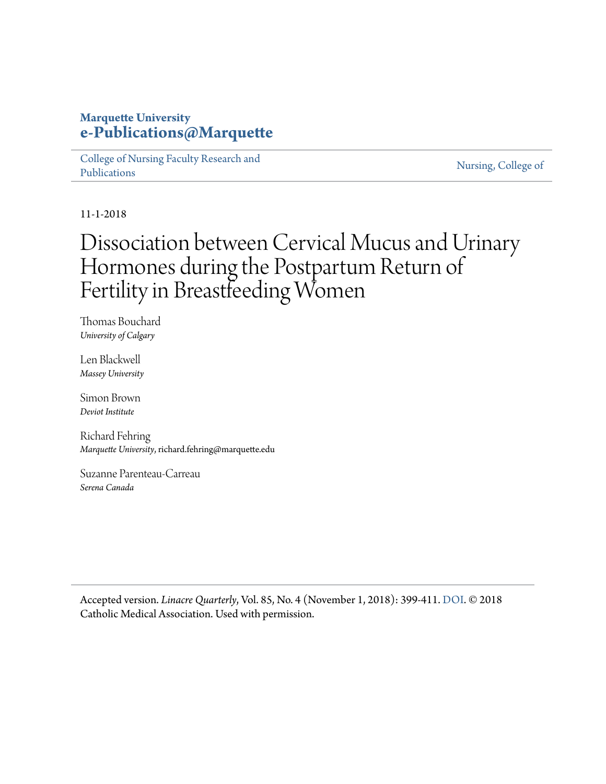## **Marquette University [e-Publications@Marquette](https://epublications.marquette.edu)**

[College of Nursing Faculty Research and](https://epublications.marquette.edu/nursing_fac) [Publications](https://epublications.marquette.edu/nursing_fac)

[Nursing, College of](https://epublications.marquette.edu/nursing)

11-1-2018

# Dissociation between Cervical Mucus and Urinary Hormones during the Postpartum Return of Fertility in Breastfeeding Women

Thomas Bouchard *University of Calgary*

Len Blackwell *Massey University*

Simon Brown *Deviot Institute*

Richard Fehring *Marquette University*, richard.fehring@marquette.edu

Suzanne Parenteau-Carreau *Serena Canada*

Accepted version. *Linacre Quarterly*, Vol. 85, No. 4 (November 1, 2018): 399-411. [DOI.](https://doi.org/10.1177%2F0024363918809698) © 2018 Catholic Medical Association. Used with permission.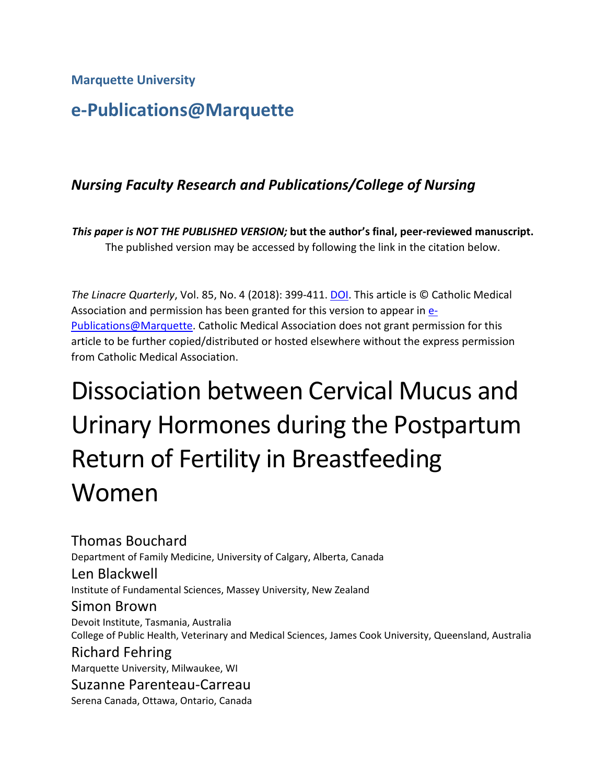**Marquette University**

## **e-Publications@Marquette**

## *Nursing Faculty Research and Publications/College of Nursing*

*This paper is NOT THE PUBLISHED VERSION;* **but the author's final, peer-reviewed manuscript.**  The published version may be accessed by following the link in the citation below.

*The Linacre Quarterly*, Vol. 85, No. 4 (2018): 399-411. [DOI.](https://www.doi.org/10.1177/0024363918809698) This article is © Catholic Medical Association and permission has been granted for this version to appear in [e-](http://epublications.marquette.edu/)[Publications@Marquette.](http://epublications.marquette.edu/) Catholic Medical Association does not grant permission for this article to be further copied/distributed or hosted elsewhere without the express permission from Catholic Medical Association.

# Dissociation between Cervical Mucus and Urinary Hormones during the Postpartum Return of Fertility in Breastfeeding Women

Thomas Bouchard Department of Family Medicine, University of Calgary, Alberta, Canada Len Blackwell Institute of Fundamental Sciences, Massey University, New Zealand Simon Brown Devoit Institute, Tasmania, Australia College of Public Health, Veterinary and Medical Sciences, James Cook University, Queensland, Australia Richard Fehring Marquette University, Milwaukee, WI Suzanne Parenteau-Carreau Serena Canada, Ottawa, Ontario, Canada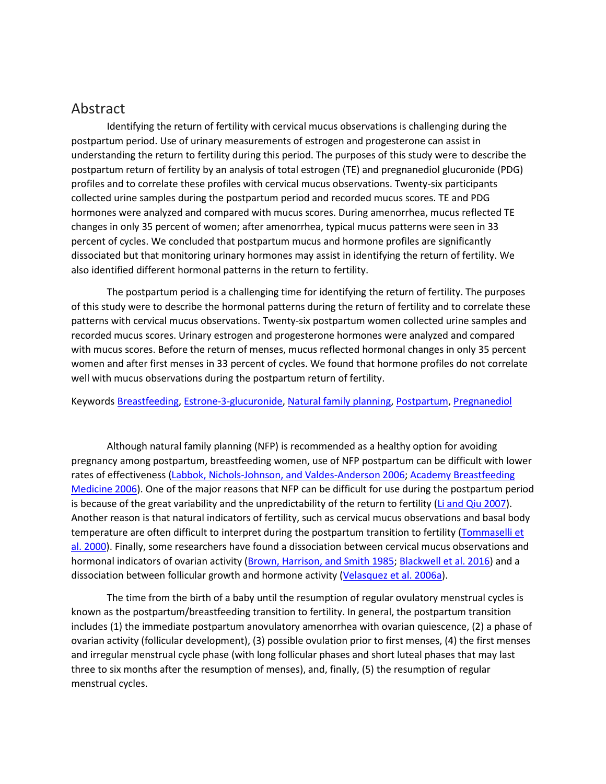## Abstract

Identifying the return of fertility with cervical mucus observations is challenging during the postpartum period. Use of urinary measurements of estrogen and progesterone can assist in understanding the return to fertility during this period. The purposes of this study were to describe the postpartum return of fertility by an analysis of total estrogen (TE) and pregnanediol glucuronide (PDG) profiles and to correlate these profiles with cervical mucus observations. Twenty-six participants collected urine samples during the postpartum period and recorded mucus scores. TE and PDG hormones were analyzed and compared with mucus scores. During amenorrhea, mucus reflected TE changes in only 35 percent of women; after amenorrhea, typical mucus patterns were seen in 33 percent of cycles. We concluded that postpartum mucus and hormone profiles are significantly dissociated but that monitoring urinary hormones may assist in identifying the return of fertility. We also identified different hormonal patterns in the return to fertility.

The postpartum period is a challenging time for identifying the return of fertility. The purposes of this study were to describe the hormonal patterns during the return of fertility and to correlate these patterns with cervical mucus observations. Twenty-six postpartum women collected urine samples and recorded mucus scores. Urinary estrogen and progesterone hormones were analyzed and compared with mucus scores. Before the return of menses, mucus reflected hormonal changes in only 35 percent women and after first menses in 33 percent of cycles. We found that hormone profiles do not correlate well with mucus observations during the postpartum return of fertility.

Keywords [Breastfeeding,](https://journals.sagepub.com/keyword/Breastfeeding) [Estrone-3-glucuronide,](https://journals.sagepub.com/keyword/Estrone-3-glucuronide) [Natural family planning,](https://journals.sagepub.com/keyword/Natural+Family+Planning) [Postpartum,](https://journals.sagepub.com/keyword/Postpartum) [Pregnanediol](https://journals.sagepub.com/keyword/Pregnanediol)

Although natural family planning (NFP) is recommended as a healthy option for avoiding pregnancy among postpartum, breastfeeding women, use of NFP postpartum can be difficult with lower rates of effectiveness [\(Labbok, Nichols-Johnson, and Valdes-Anderson 2006;](https://journals.sagepub.com/doi/10.1177/0024363918809698) [Academy Breastfeeding](https://journals.sagepub.com/doi/10.1177/0024363918809698)  [Medicine 2006\)](https://journals.sagepub.com/doi/10.1177/0024363918809698). One of the major reasons that NFP can be difficult for use during the postpartum period is because of the great variability and the unpredictability of the return to fertility [\(Li and Qiu 2007\)](https://journals.sagepub.com/doi/10.1177/0024363918809698). Another reason is that natural indicators of fertility, such as cervical mucus observations and basal body temperature are often difficult to interpret during the postpartum transition to fertility (Tommaselli et [al. 2000\)](https://journals.sagepub.com/doi/10.1177/0024363918809698). Finally, some researchers have found a dissociation between cervical mucus observations and hormonal indicators of ovarian activity [\(Brown, Harrison, and Smith 1985;](https://journals.sagepub.com/doi/10.1177/0024363918809698) [Blackwell et al. 2016\)](https://journals.sagepub.com/doi/10.1177/0024363918809698) and a dissociation between follicular growth and hormone activity [\(Velasquez et al. 2006a\)](https://journals.sagepub.com/doi/10.1177/0024363918809698).

The time from the birth of a baby until the resumption of regular ovulatory menstrual cycles is known as the postpartum/breastfeeding transition to fertility. In general, the postpartum transition includes (1) the immediate postpartum anovulatory amenorrhea with ovarian quiescence, (2) a phase of ovarian activity (follicular development), (3) possible ovulation prior to first menses, (4) the first menses and irregular menstrual cycle phase (with long follicular phases and short luteal phases that may last three to six months after the resumption of menses), and, finally, (5) the resumption of regular menstrual cycles.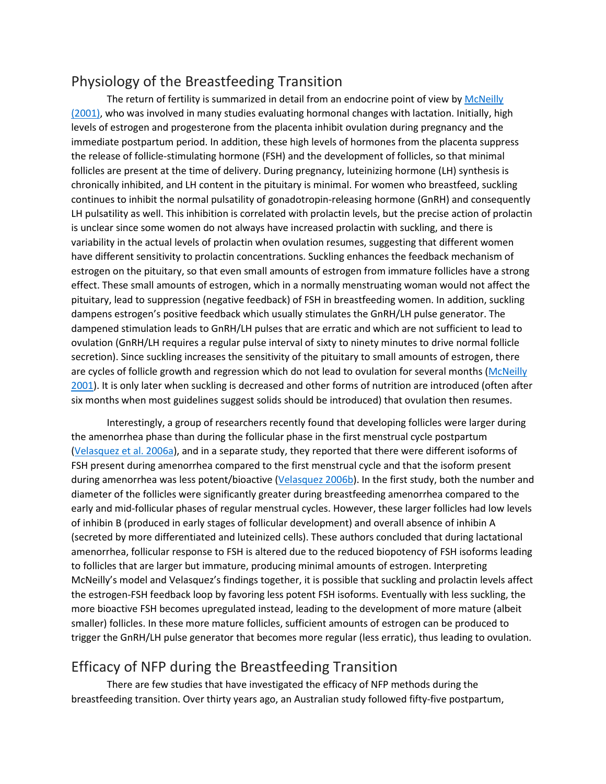## Physiology of the Breastfeeding Transition

The return of fertility is summarized in detail from an endocrine point of view by McNeilly [\(2001\),](https://journals.sagepub.com/doi/10.1177/0024363918809698) who was involved in many studies evaluating hormonal changes with lactation. Initially, high levels of estrogen and progesterone from the placenta inhibit ovulation during pregnancy and the immediate postpartum period. In addition, these high levels of hormones from the placenta suppress the release of follicle-stimulating hormone (FSH) and the development of follicles, so that minimal follicles are present at the time of delivery. During pregnancy, luteinizing hormone (LH) synthesis is chronically inhibited, and LH content in the pituitary is minimal. For women who breastfeed, suckling continues to inhibit the normal pulsatility of gonadotropin-releasing hormone (GnRH) and consequently LH pulsatility as well. This inhibition is correlated with prolactin levels, but the precise action of prolactin is unclear since some women do not always have increased prolactin with suckling, and there is variability in the actual levels of prolactin when ovulation resumes, suggesting that different women have different sensitivity to prolactin concentrations. Suckling enhances the feedback mechanism of estrogen on the pituitary, so that even small amounts of estrogen from immature follicles have a strong effect. These small amounts of estrogen, which in a normally menstruating woman would not affect the pituitary, lead to suppression (negative feedback) of FSH in breastfeeding women. In addition, suckling dampens estrogen's positive feedback which usually stimulates the GnRH/LH pulse generator. The dampened stimulation leads to GnRH/LH pulses that are erratic and which are not sufficient to lead to ovulation (GnRH/LH requires a regular pulse interval of sixty to ninety minutes to drive normal follicle secretion). Since suckling increases the sensitivity of the pituitary to small amounts of estrogen, there are cycles of follicle growth and regression which do not lead to ovulation for several months (McNeilly [2001\)](https://journals.sagepub.com/doi/10.1177/0024363918809698). It is only later when suckling is decreased and other forms of nutrition are introduced (often after six months when most guidelines suggest solids should be introduced) that ovulation then resumes.

Interestingly, a group of researchers recently found that developing follicles were larger during the amenorrhea phase than during the follicular phase in the first menstrual cycle postpartum [\(Velasquez et al. 2006a\)](https://journals.sagepub.com/doi/10.1177/0024363918809698), and in a separate study, they reported that there were different isoforms of FSH present during amenorrhea compared to the first menstrual cycle and that the isoform present during amenorrhea was less potent/bioactive [\(Velasquez 2006b\)](https://journals.sagepub.com/doi/10.1177/0024363918809698). In the first study, both the number and diameter of the follicles were significantly greater during breastfeeding amenorrhea compared to the early and mid-follicular phases of regular menstrual cycles. However, these larger follicles had low levels of inhibin B (produced in early stages of follicular development) and overall absence of inhibin A (secreted by more differentiated and luteinized cells). These authors concluded that during lactational amenorrhea, follicular response to FSH is altered due to the reduced biopotency of FSH isoforms leading to follicles that are larger but immature, producing minimal amounts of estrogen. Interpreting McNeilly's model and Velasquez's findings together, it is possible that suckling and prolactin levels affect the estrogen-FSH feedback loop by favoring less potent FSH isoforms. Eventually with less suckling, the more bioactive FSH becomes upregulated instead, leading to the development of more mature (albeit smaller) follicles. In these more mature follicles, sufficient amounts of estrogen can be produced to trigger the GnRH/LH pulse generator that becomes more regular (less erratic), thus leading to ovulation.

## Efficacy of NFP during the Breastfeeding Transition

There are few studies that have investigated the efficacy of NFP methods during the breastfeeding transition. Over thirty years ago, an Australian study followed fifty-five postpartum,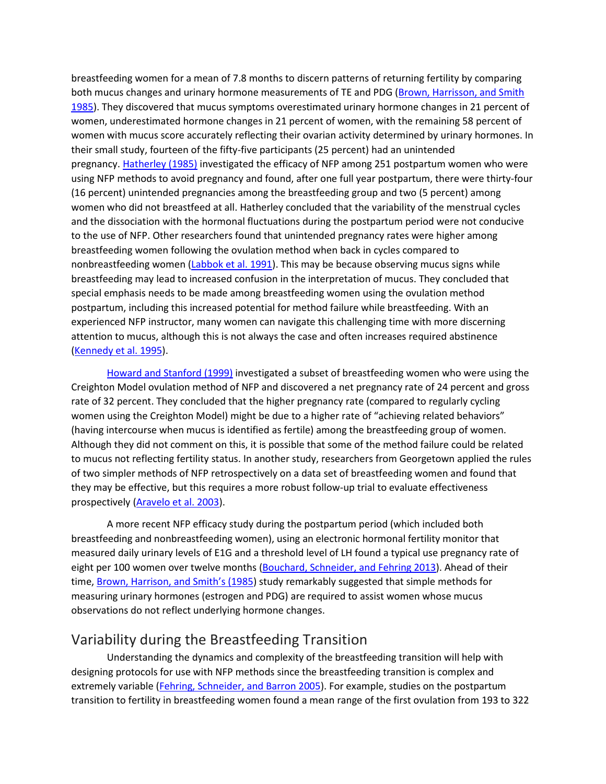breastfeeding women for a mean of 7.8 months to discern patterns of returning fertility by comparing both mucus changes and urinary hormone measurements of TE and PDG [\(Brown, Harrisson, and Smith](https://journals.sagepub.com/doi/10.1177/0024363918809698)  [1985\)](https://journals.sagepub.com/doi/10.1177/0024363918809698). They discovered that mucus symptoms overestimated urinary hormone changes in 21 percent of women, underestimated hormone changes in 21 percent of women, with the remaining 58 percent of women with mucus score accurately reflecting their ovarian activity determined by urinary hormones. In their small study, fourteen of the fifty-five participants (25 percent) had an unintended pregnancy. [Hatherley \(1985\)](https://journals.sagepub.com/doi/10.1177/0024363918809698) investigated the efficacy of NFP among 251 postpartum women who were using NFP methods to avoid pregnancy and found, after one full year postpartum, there were thirty-four (16 percent) unintended pregnancies among the breastfeeding group and two (5 percent) among women who did not breastfeed at all. Hatherley concluded that the variability of the menstrual cycles and the dissociation with the hormonal fluctuations during the postpartum period were not conducive to the use of NFP. Other researchers found that unintended pregnancy rates were higher among breastfeeding women following the ovulation method when back in cycles compared to nonbreastfeeding women [\(Labbok et al. 1991\)](https://journals.sagepub.com/doi/10.1177/0024363918809698). This may be because observing mucus signs while breastfeeding may lead to increased confusion in the interpretation of mucus. They concluded that special emphasis needs to be made among breastfeeding women using the ovulation method postpartum, including this increased potential for method failure while breastfeeding. With an experienced NFP instructor, many women can navigate this challenging time with more discerning attention to mucus, although this is not always the case and often increases required abstinence [\(Kennedy et al. 1995\)](https://journals.sagepub.com/doi/10.1177/0024363918809698).

[Howard and Stanford \(1999\)](https://journals.sagepub.com/doi/10.1177/0024363918809698) investigated a subset of breastfeeding women who were using the Creighton Model ovulation method of NFP and discovered a net pregnancy rate of 24 percent and gross rate of 32 percent. They concluded that the higher pregnancy rate (compared to regularly cycling women using the Creighton Model) might be due to a higher rate of "achieving related behaviors" (having intercourse when mucus is identified as fertile) among the breastfeeding group of women. Although they did not comment on this, it is possible that some of the method failure could be related to mucus not reflecting fertility status. In another study, researchers from Georgetown applied the rules of two simpler methods of NFP retrospectively on a data set of breastfeeding women and found that they may be effective, but this requires a more robust follow-up trial to evaluate effectiveness prospectively [\(Aravelo et al. 2003\)](https://journals.sagepub.com/doi/10.1177/0024363918809698).

A more recent NFP efficacy study during the postpartum period (which included both breastfeeding and nonbreastfeeding women), using an electronic hormonal fertility monitor that measured daily urinary levels of E1G and a threshold level of LH found a typical use pregnancy rate of eight per 100 women over twelve months [\(Bouchard, Schneider, and Fehring 2013\)](https://journals.sagepub.com/doi/10.1177/0024363918809698). Ahead of their time, [Brown, Harrison, and Smith's \(1985\)](https://journals.sagepub.com/doi/10.1177/0024363918809698) study remarkably suggested that simple methods for measuring urinary hormones (estrogen and PDG) are required to assist women whose mucus observations do not reflect underlying hormone changes.

## Variability during the Breastfeeding Transition

Understanding the dynamics and complexity of the breastfeeding transition will help with designing protocols for use with NFP methods since the breastfeeding transition is complex and extremely variable [\(Fehring, Schneider, and Barron 2005\)](https://journals.sagepub.com/doi/10.1177/0024363918809698). For example, studies on the postpartum transition to fertility in breastfeeding women found a mean range of the first ovulation from 193 to 322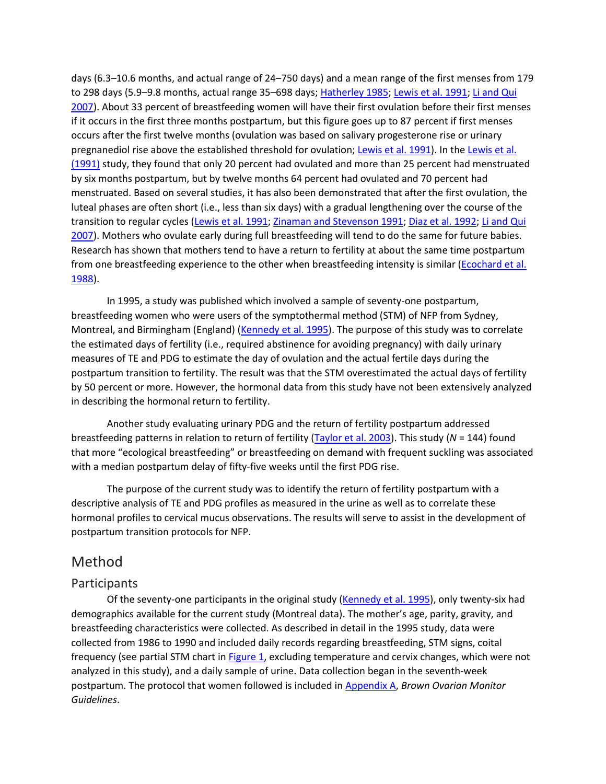days (6.3–10.6 months, and actual range of 24–750 days) and a mean range of the first menses from 179 to 298 days (5.9-9.8 months, actual range 35-698 days; [Hatherley 1985;](https://journals.sagepub.com/doi/10.1177/0024363918809698) [Lewis et al. 1991;](https://journals.sagepub.com/doi/10.1177/0024363918809698) Li and Qui [2007\)](https://journals.sagepub.com/doi/10.1177/0024363918809698). About 33 percent of breastfeeding women will have their first ovulation before their first menses if it occurs in the first three months postpartum, but this figure goes up to 87 percent if first menses occurs after the first twelve months (ovulation was based on salivary progesterone rise or urinary pregnanediol rise above the established threshold for ovulation; [Lewis et al. 1991\)](https://journals.sagepub.com/doi/10.1177/0024363918809698). In the [Lewis et al.](https://journals.sagepub.com/doi/10.1177/0024363918809698)  [\(1991\)](https://journals.sagepub.com/doi/10.1177/0024363918809698) study, they found that only 20 percent had ovulated and more than 25 percent had menstruated by six months postpartum, but by twelve months 64 percent had ovulated and 70 percent had menstruated. Based on several studies, it has also been demonstrated that after the first ovulation, the luteal phases are often short (i.e., less than six days) with a gradual lengthening over the course of the transition to regular cycles [\(Lewis et al. 1991;](https://journals.sagepub.com/doi/10.1177/0024363918809698) [Zinaman and Stevenson 1991;](https://journals.sagepub.com/doi/10.1177/0024363918809698) [Diaz et al. 1992;](https://journals.sagepub.com/doi/10.1177/0024363918809698) [Li and Qui](https://journals.sagepub.com/doi/10.1177/0024363918809698)  [2007\)](https://journals.sagepub.com/doi/10.1177/0024363918809698). Mothers who ovulate early during full breastfeeding will tend to do the same for future babies. Research has shown that mothers tend to have a return to fertility at about the same time postpartum from one breastfeeding experience to the other when breastfeeding intensity is similar (Ecochard et al. [1988\)](https://journals.sagepub.com/doi/10.1177/0024363918809698).

In 1995, a study was published which involved a sample of seventy-one postpartum, breastfeeding women who were users of the symptothermal method (STM) of NFP from Sydney, Montreal, and Birmingham (England) [\(Kennedy et al. 1995\)](https://journals.sagepub.com/doi/10.1177/0024363918809698). The purpose of this study was to correlate the estimated days of fertility (i.e., required abstinence for avoiding pregnancy) with daily urinary measures of TE and PDG to estimate the day of ovulation and the actual fertile days during the postpartum transition to fertility. The result was that the STM overestimated the actual days of fertility by 50 percent or more. However, the hormonal data from this study have not been extensively analyzed in describing the hormonal return to fertility.

Another study evaluating urinary PDG and the return of fertility postpartum addressed breastfeeding patterns in relation to return of fertility [\(Taylor et al. 2003\)](https://journals.sagepub.com/doi/10.1177/0024363918809698). This study (*N* = 144) found that more "ecological breastfeeding" or breastfeeding on demand with frequent suckling was associated with a median postpartum delay of fifty-five weeks until the first PDG rise.

The purpose of the current study was to identify the return of fertility postpartum with a descriptive analysis of TE and PDG profiles as measured in the urine as well as to correlate these hormonal profiles to cervical mucus observations. The results will serve to assist in the development of postpartum transition protocols for NFP.

## Method

#### Participants

Of the seventy-one participants in the original study [\(Kennedy et al. 1995\)](https://journals.sagepub.com/doi/10.1177/0024363918809698), only twenty-six had demographics available for the current study (Montreal data). The mother's age, parity, gravity, and breastfeeding characteristics were collected. As described in detail in the 1995 study, data were collected from 1986 to 1990 and included daily records regarding breastfeeding, STM signs, coital frequency (see partial STM chart in [Figure 1,](https://journals.sagepub.com/doi/10.1177/0024363918809698) excluding temperature and cervix changes, which were not analyzed in this study), and a daily sample of urine. Data collection began in the seventh-week postpartum. The protocol that women followed is included in [Appendix A,](javascript:popRef() *Brown Ovarian Monitor Guidelines*.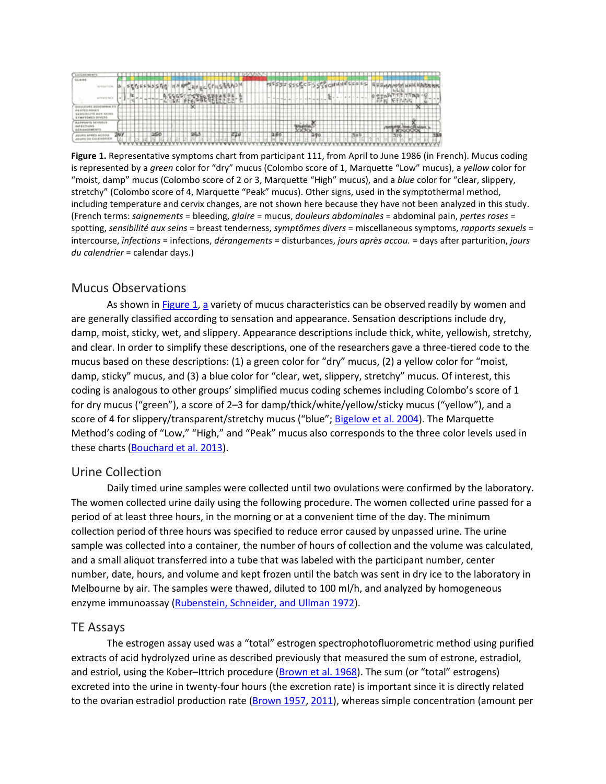

**Figure 1.** Representative symptoms chart from participant 111, from April to June 1986 (in French). Mucus coding is represented by a *green* color for "dry" mucus (Colombo score of 1, Marquette "Low" mucus), a *yellow* color for "moist, damp" mucus (Colombo score of 2 or 3, Marquette "High" mucus), and a *blue* color for "clear, slippery, stretchy" (Colombo score of 4, Marquette "Peak" mucus). Other signs, used in the symptothermal method, including temperature and cervix changes, are not shown here because they have not been analyzed in this study. (French terms: *saignements* = bleeding, *glaire* = mucus, *douleurs abdominales* = abdominal pain, *pertes roses* = spotting, *sensibilité aux seins* = breast tenderness, *symptômes divers* = miscellaneous symptoms, *rapports sexuels* = intercourse, *infections* = infections, *dérangements* = disturbances, *jours après accou.* = days after parturition, *jours du calendrier* = calendar days.)

#### Mucus Observations

As shown in [Figure 1,](https://journals.sagepub.com/doi/10.1177/0024363918809698) [a](https://journals.sagepub.com/doi/10.1177/0024363918809698) variety of mucus characteristics can be observed readily by women and are generally classified according to sensation and appearance. Sensation descriptions include dry, damp, moist, sticky, wet, and slippery. Appearance descriptions include thick, white, yellowish, stretchy, and clear. In order to simplify these descriptions, one of the researchers gave a three-tiered code to the mucus based on these descriptions: (1) a green color for "dry" mucus, (2) a yellow color for "moist, damp, sticky" mucus, and (3) a blue color for "clear, wet, slippery, stretchy" mucus. Of interest, this coding is analogous to other groups' simplified mucus coding schemes including Colombo's score of 1 for dry mucus ("green"), a score of 2–3 for damp/thick/white/yellow/sticky mucus ("yellow"), and a score of 4 for slippery/transparent/stretchy mucus ("blue"; [Bigelow et al. 2004\)](https://journals.sagepub.com/doi/10.1177/0024363918809698). The Marquette Method's coding of "Low," "High," and "Peak" mucus also corresponds to the three color levels used in these charts [\(Bouchard et al. 2013\)](https://journals.sagepub.com/doi/10.1177/0024363918809698).

#### Urine Collection

Daily timed urine samples were collected until two ovulations were confirmed by the laboratory. The women collected urine daily using the following procedure. The women collected urine passed for a period of at least three hours, in the morning or at a convenient time of the day. The minimum collection period of three hours was specified to reduce error caused by unpassed urine. The urine sample was collected into a container, the number of hours of collection and the volume was calculated, and a small aliquot transferred into a tube that was labeled with the participant number, center number, date, hours, and volume and kept frozen until the batch was sent in dry ice to the laboratory in Melbourne by air. The samples were thawed, diluted to 100 ml/h, and analyzed by homogeneous enzyme immunoassay [\(Rubenstein, Schneider, and](https://journals.sagepub.com/doi/10.1177/0024363918809698) Ullman 1972).

#### TE Assays

The estrogen assay used was a "total" estrogen spectrophotofluorometric method using purified extracts of acid hydrolyzed urine as described previously that measured the sum of estrone, estradiol, and estriol, using the Kober–Ittrich procedure [\(Brown et al. 1968\)](https://journals.sagepub.com/doi/10.1177/0024363918809698). The sum (or "total" estrogens) excreted into the urine in twenty-four hours (the excretion rate) is important since it is directly related to the ovarian estradiol production rate [\(Brown 1957,](https://journals.sagepub.com/doi/10.1177/0024363918809698) [2011\)](https://journals.sagepub.com/doi/10.1177/0024363918809698), whereas simple concentration (amount per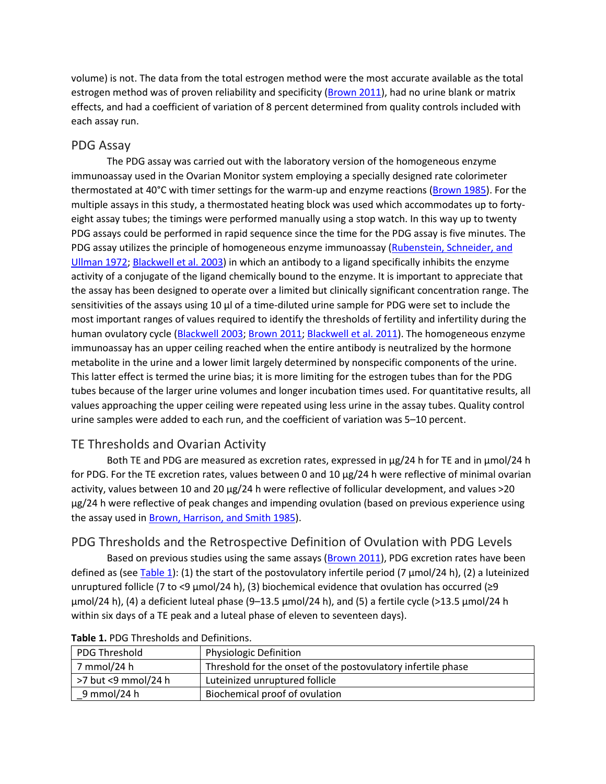volume) is not. The data from the total estrogen method were the most accurate available as the total estrogen method was of proven reliability and specificity [\(Brown 2011\)](https://journals.sagepub.com/doi/10.1177/0024363918809698), had no urine blank or matrix effects, and had a coefficient of variation of 8 percent determined from quality controls included with each assay run.

#### PDG Assay

The PDG assay was carried out with the laboratory version of the homogeneous enzyme immunoassay used in the Ovarian Monitor system employing a specially designed rate colorimeter thermostated at 40°C with timer settings for the warm-up and enzyme reactions [\(Brown 1985\)](https://journals.sagepub.com/doi/10.1177/0024363918809698). For the multiple assays in this study, a thermostated heating block was used which accommodates up to fortyeight assay tubes; the timings were performed manually using a stop watch. In this way up to twenty PDG assays could be performed in rapid sequence since the time for the PDG assay is five minutes. The PDG assay utilizes the principle of homogeneous enzyme immunoassay (Rubenstein, Schneider, and [Ullman 1972;](https://journals.sagepub.com/doi/10.1177/0024363918809698) [Blackwell et al. 2003\)](https://journals.sagepub.com/doi/10.1177/0024363918809698) in which an antibody to a ligand specifically inhibits the enzyme activity of a conjugate of the ligand chemically bound to the enzyme. It is important to appreciate that the assay has been designed to operate over a limited but clinically significant concentration range. The sensitivities of the assays using 10  $\mu$ l of a time-diluted urine sample for PDG were set to include the most important ranges of values required to identify the thresholds of fertility and infertility during the human ovulatory cycle [\(Blackwell 2003;](https://journals.sagepub.com/doi/10.1177/0024363918809698) [Brown 2011;](https://journals.sagepub.com/doi/10.1177/0024363918809698) [Blackwell et al. 2011\)](https://journals.sagepub.com/doi/10.1177/0024363918809698). The homogeneous enzyme immunoassay has an upper ceiling reached when the entire antibody is neutralized by the hormone metabolite in the urine and a lower limit largely determined by nonspecific components of the urine. This latter effect is termed the urine bias; it is more limiting for the estrogen tubes than for the PDG tubes because of the larger urine volumes and longer incubation times used. For quantitative results, all values approaching the upper ceiling were repeated using less urine in the assay tubes. Quality control urine samples were added to each run, and the coefficient of variation was 5–10 percent.

## TE Thresholds and Ovarian Activity

Both TE and PDG are measured as excretion rates, expressed in µg/24 h for TE and in µmol/24 h for PDG. For the TE excretion rates, values between 0 and 10 µg/24 h were reflective of minimal ovarian activity, values between 10 and 20 µg/24 h were reflective of follicular development, and values >20 µg/24 h were reflective of peak changes and impending ovulation (based on previous experience using the assay used in [Brown, Harrison, and Smith 1985\)](https://journals.sagepub.com/doi/10.1177/0024363918809698).

## PDG Thresholds and the Retrospective Definition of Ovulation with PDG Levels

Based on previous studies using the same assays [\(Brown 2011\)](https://journals.sagepub.com/doi/10.1177/0024363918809698), PDG excretion rates have been defined as (see [Table 1\)](https://journals.sagepub.com/doi/10.1177/0024363918809698): (1) the start of the postovulatory infertile period (7  $\mu$ mol/24 h), (2) a luteinized unruptured follicle (7 to <9 µmol/24 h), (3) biochemical evidence that ovulation has occurred (≥9 µmol/24 h), (4) a deficient luteal phase (9–13.5 µmol/24 h), and (5) a fertile cycle (>13.5 μmol/24 h within six days of a TE peak and a luteal phase of eleven to seventeen days).

| PDG Threshold       | <b>Physiologic Definition</b>                                |
|---------------------|--------------------------------------------------------------|
| 7 mmol/24 h         | Threshold for the onset of the postovulatory infertile phase |
| >7 but <9 mmol/24 h | Luteinized unruptured follicle                               |
| 9 mmol/24 h         | Biochemical proof of ovulation                               |

#### **Table 1.** PDG Thresholds and Definitions.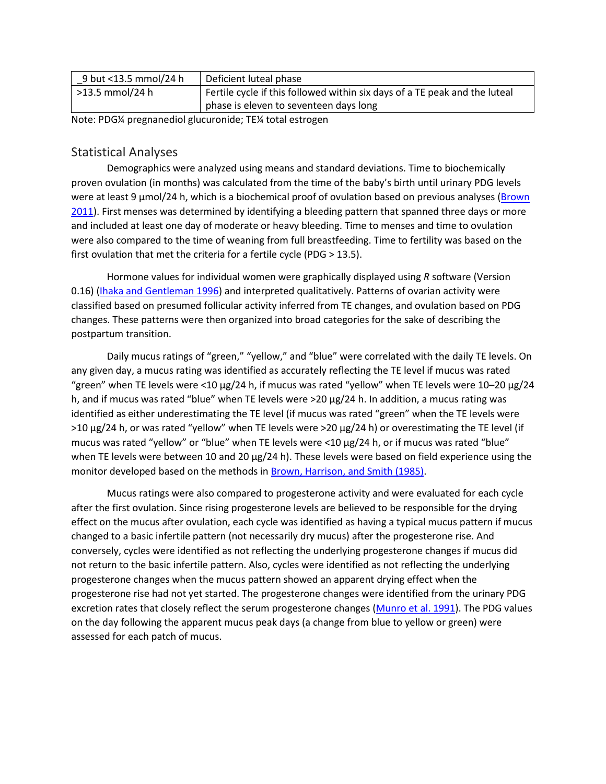| 9 but <13.5 mmol/24 h | Deficient luteal phase                                                     |  |
|-----------------------|----------------------------------------------------------------------------|--|
| >13.5 mmol/24 h       | Fertile cycle if this followed within six days of a TE peak and the luteal |  |
|                       | phase is eleven to seventeen days long                                     |  |

Note: PDG¼ pregnanediol glucuronide; TE¼ total estrogen

#### Statistical Analyses

Demographics were analyzed using means and standard deviations. Time to biochemically proven ovulation (in months) was calculated from the time of the baby's birth until urinary PDG levels were at least 9 µmol/24 h, which is a biochemical proof of ovulation based on previous analyses (Brown [2011\)](https://journals.sagepub.com/doi/10.1177/0024363918809698). First menses was determined by identifying a bleeding pattern that spanned three days or more and included at least one day of moderate or heavy bleeding. Time to menses and time to ovulation were also compared to the time of weaning from full breastfeeding. Time to fertility was based on the first ovulation that met the criteria for a fertile cycle (PDG > 13.5).

Hormone values for individual women were graphically displayed using *R* software (Version 0.16) [\(Ihaka and Gentleman 1996\)](https://journals.sagepub.com/doi/10.1177/0024363918809698) and interpreted qualitatively. Patterns of ovarian activity were classified based on presumed follicular activity inferred from TE changes, and ovulation based on PDG changes. These patterns were then organized into broad categories for the sake of describing the postpartum transition.

Daily mucus ratings of "green," "yellow," and "blue" were correlated with the daily TE levels. On any given day, a mucus rating was identified as accurately reflecting the TE level if mucus was rated "green" when TE levels were <10 µg/24 h, if mucus was rated "yellow" when TE levels were 10–20 µg/24 h, and if mucus was rated "blue" when TE levels were >20  $\mu$ g/24 h. In addition, a mucus rating was identified as either underestimating the TE level (if mucus was rated "green" when the TE levels were  $>10 \mu g/24$  h, or was rated "yellow" when TE levels were  $>20 \mu g/24$  h) or overestimating the TE level (if mucus was rated "yellow" or "blue" when TE levels were <10 µg/24 h, or if mucus was rated "blue" when TE levels were between 10 and 20 µg/24 h). These levels were based on field experience using the monitor developed based on the methods in [Brown, Harrison, and Smith \(1985\).](https://journals.sagepub.com/doi/10.1177/0024363918809698)

Mucus ratings were also compared to progesterone activity and were evaluated for each cycle after the first ovulation. Since rising progesterone levels are believed to be responsible for the drying effect on the mucus after ovulation, each cycle was identified as having a typical mucus pattern if mucus changed to a basic infertile pattern (not necessarily dry mucus) after the progesterone rise. And conversely, cycles were identified as not reflecting the underlying progesterone changes if mucus did not return to the basic infertile pattern. Also, cycles were identified as not reflecting the underlying progesterone changes when the mucus pattern showed an apparent drying effect when the progesterone rise had not yet started. The progesterone changes were identified from the urinary PDG excretion rates that closely reflect the serum progesterone changes [\(Munro et al. 1991\)](https://journals.sagepub.com/doi/10.1177/0024363918809698). The PDG values on the day following the apparent mucus peak days (a change from blue to yellow or green) were assessed for each patch of mucus.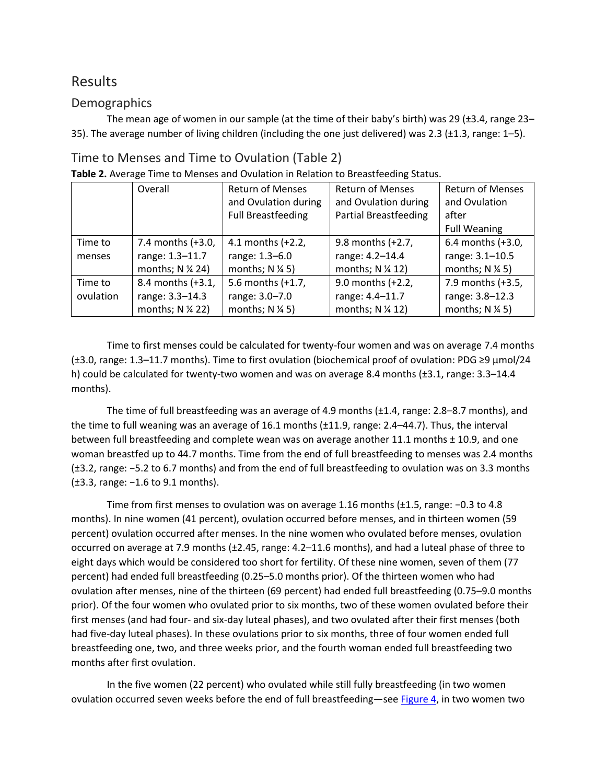## Results

#### **Demographics**

The mean age of women in our sample (at the time of their baby's birth) was 29 (±3.4, range 23– 35). The average number of living children (including the one just delivered) was 2.3 (±1.3, range: 1–5).

## Time to Menses and Time to Ovulation [\(Table 2\)](https://journals.sagepub.com/doi/10.1177/0024363918809698)

|           | Overall           | <b>Return of Menses</b>   | <b>Return of Menses</b>      | <b>Return of Menses</b>    |
|-----------|-------------------|---------------------------|------------------------------|----------------------------|
|           |                   | and Ovulation during      | and Ovulation during         | and Ovulation              |
|           |                   | <b>Full Breastfeeding</b> | <b>Partial Breastfeeding</b> | after                      |
|           |                   |                           |                              | <b>Full Weaning</b>        |
| Time to   | 7.4 months (+3.0, | 4.1 months (+2.2,         | 9.8 months (+2.7,            | 6.4 months (+3.0,          |
| menses    | range: 1.3-11.7   | range: 1.3-6.0            | range: 4.2-14.4              | range: 3.1-10.5            |
|           | months; N % 24)   | months; $N \frac{1}{4} 5$ | months; N % 12)              | months; $N \frac{1}{4}$ 5) |
| Time to   | 8.4 months (+3.1, | 5.6 months (+1.7,         | 9.0 months (+2.2,            | 7.9 months (+3.5,          |
| ovulation | range: 3.3-14.3   | range: 3.0-7.0            | range: 4.4-11.7              | range: 3.8-12.3            |
|           | months; N % 22)   | months; $N \frac{1}{4} 5$ | months; N % 12)              | months; $N \frac{1}{4}$ 5) |

#### **Table 2.** Average Time to Menses and Ovulation in Relation to Breastfeeding Status.

Time to first menses could be calculated for twenty-four women and was on average 7.4 months (±3.0, range: 1.3–11.7 months). Time to first ovulation (biochemical proof of ovulation: PDG ≥9 µmol/24 h) could be calculated for twenty-two women and was on average 8.4 months (±3.1, range: 3.3–14.4 months).

The time of full breastfeeding was an average of 4.9 months (±1.4, range: 2.8–8.7 months), and the time to full weaning was an average of 16.1 months (±11.9, range: 2.4–44.7). Thus, the interval between full breastfeeding and complete wean was on average another 11.1 months ± 10.9, and one woman breastfed up to 44.7 months. Time from the end of full breastfeeding to menses was 2.4 months (±3.2, range: −5.2 to 6.7 months) and from the end of full breastfeeding to ovulation was on 3.3 months (±3.3, range: −1.6 to 9.1 months).

Time from first menses to ovulation was on average 1.16 months (±1.5, range: −0.3 to 4.8 months). In nine women (41 percent), ovulation occurred before menses, and in thirteen women (59 percent) ovulation occurred after menses. In the nine women who ovulated before menses, ovulation occurred on average at 7.9 months (±2.45, range: 4.2–11.6 months), and had a luteal phase of three to eight days which would be considered too short for fertility. Of these nine women, seven of them (77 percent) had ended full breastfeeding (0.25–5.0 months prior). Of the thirteen women who had ovulation after menses, nine of the thirteen (69 percent) had ended full breastfeeding (0.75–9.0 months prior). Of the four women who ovulated prior to six months, two of these women ovulated before their first menses (and had four- and six-day luteal phases), and two ovulated after their first menses (both had five-day luteal phases). In these ovulations prior to six months, three of four women ended full breastfeeding one, two, and three weeks prior, and the fourth woman ended full breastfeeding two months after first ovulation.

In the five women (22 percent) who ovulated while still fully breastfeeding (in two women ovulation occurred seven weeks before the end of full breastfeeding—see [Figure 4,](https://journals.sagepub.com/doi/10.1177/0024363918809698) in two women two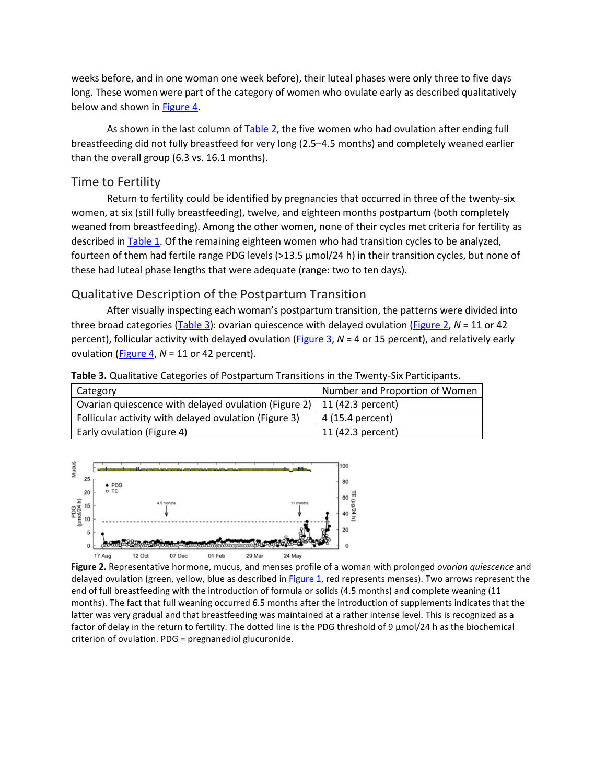weeks before, and in one woman one week before), their luteal phases were only three to five days long. These women were part of the category of women who ovulate early as described qualitatively below and shown in [Figure 4.](https://journals.sagepub.com/doi/10.1177/0024363918809698)

As shown in the last column of [Table 2,](https://journals.sagepub.com/doi/10.1177/0024363918809698) the five women who had ovulation after ending full breastfeeding did not fully breastfeed for very long (2.5–4.5 months) and completely weaned earlier than the overall group (6.3 vs. 16.1 months).

#### Time to Fertility

Return to fertility could be identified by pregnancies that occurred in three of the twenty-six women, at six (still fully breastfeeding), twelve, and eighteen months postpartum (both completely weaned from breastfeeding). Among the other women, none of their cycles met criteria for fertility as described in [Table 1.](https://journals.sagepub.com/doi/10.1177/0024363918809698) Of the remaining eighteen women who had transition cycles to be analyzed, fourteen of them had fertile range PDG levels (>13.5 µmol/24 h) in their transition cycles, but none of these had luteal phase lengths that were adequate (range: two to ten days).

#### Qualitative Description of the Postpartum Transition

After visually inspecting each woman's postpartum transition, the patterns were divided into three broad categories [\(Table 3\)](https://journals.sagepub.com/doi/10.1177/0024363918809698): ovarian quiescence with delayed ovulation [\(Figure 2,](https://journals.sagepub.com/doi/10.1177/0024363918809698) *N* = 11 or 42 percent), follicular activity with delayed ovulation [\(Figure 3,](https://journals.sagepub.com/doi/10.1177/0024363918809698) *N* = 4 or 15 percent), and relatively early ovulation [\(Figure 4,](https://journals.sagepub.com/doi/10.1177/0024363918809698) *N* = 11 or 42 percent).

| Category                                                                 | Number and Proportion of Women |  |  |  |
|--------------------------------------------------------------------------|--------------------------------|--|--|--|
| Ovarian quiescence with delayed ovulation (Figure 2)   11 (42.3 percent) |                                |  |  |  |
| Follicular activity with delayed ovulation (Figure 3)                    | 4 (15.4 percent)               |  |  |  |

**Table 3.** Qualitative Categories of Postpartum Transitions in the Twenty-Six Participants.



Early ovulation (Figure 4) 11 (42.3 percent)

**Figure 2.** Representative hormone, mucus, and menses profile of a woman with prolonged *ovarian quiescence* and delayed ovulation (green, yellow, blue as described in [Figure 1,](https://journals.sagepub.com/doi/10.1177/0024363918809698) red represents menses). Two arrows represent the end of full breastfeeding with the introduction of formula or solids (4.5 months) and complete weaning (11 months). The fact that full weaning occurred 6.5 months after the introduction of supplements indicates that the latter was very gradual and that breastfeeding was maintained at a rather intense level. This is recognized as a factor of delay in the return to fertility. The dotted line is the PDG threshold of 9  $\mu$ mol/24 h as the biochemical criterion of ovulation. PDG = pregnanediol glucuronide.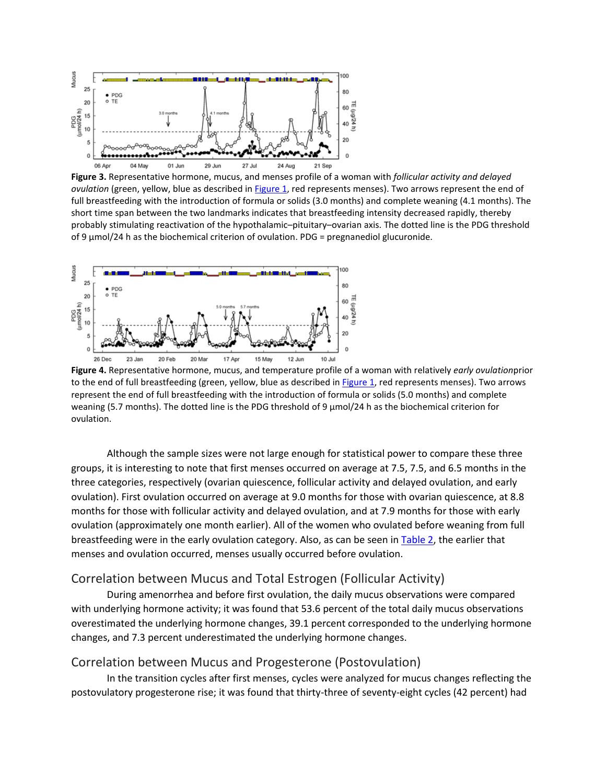

**Figure 3.** Representative hormone, mucus, and menses profile of a woman with *follicular activity and delayed ovulation* (green, yellow, blue as described in [Figure 1,](https://journals.sagepub.com/doi/10.1177/0024363918809698) red represents menses). Two arrows represent the end of full breastfeeding with the introduction of formula or solids (3.0 months) and complete weaning (4.1 months). The short time span between the two landmarks indicates that breastfeeding intensity decreased rapidly, thereby probably stimulating reactivation of the hypothalamic–pituitary–ovarian axis. The dotted line is the PDG threshold of 9  $\mu$ mol/24 h as the biochemical criterion of ovulation. PDG = pregnanediol glucuronide.



**Figure 4.** Representative hormone, mucus, and temperature profile of a woman with relatively *early ovulation*prior to the end of full breastfeeding (green, yellow, blue as described in [Figure 1,](https://journals.sagepub.com/doi/10.1177/0024363918809698) red represents menses). Two arrows represent the end of full breastfeeding with the introduction of formula or solids (5.0 months) and complete weaning (5.7 months). The dotted line is the PDG threshold of 9 µmol/24 h as the biochemical criterion for ovulation.

Although the sample sizes were not large enough for statistical power to compare these three groups, it is interesting to note that first menses occurred on average at 7.5, 7.5, and 6.5 months in the three categories, respectively (ovarian quiescence, follicular activity and delayed ovulation, and early ovulation). First ovulation occurred on average at 9.0 months for those with ovarian quiescence, at 8.8 months for those with follicular activity and delayed ovulation, and at 7.9 months for those with early ovulation (approximately one month earlier). All of the women who ovulated before weaning from full breastfeeding were in the early ovulation category. Also, as can be seen in [Table 2,](https://journals.sagepub.com/doi/10.1177/0024363918809698) the earlier that menses and ovulation occurred, menses usually occurred before ovulation.

#### Correlation between Mucus and Total Estrogen (Follicular Activity)

During amenorrhea and before first ovulation, the daily mucus observations were compared with underlying hormone activity; it was found that 53.6 percent of the total daily mucus observations overestimated the underlying hormone changes, 39.1 percent corresponded to the underlying hormone changes, and 7.3 percent underestimated the underlying hormone changes.

#### Correlation between Mucus and Progesterone (Postovulation)

In the transition cycles after first menses, cycles were analyzed for mucus changes reflecting the postovulatory progesterone rise; it was found that thirty-three of seventy-eight cycles (42 percent) had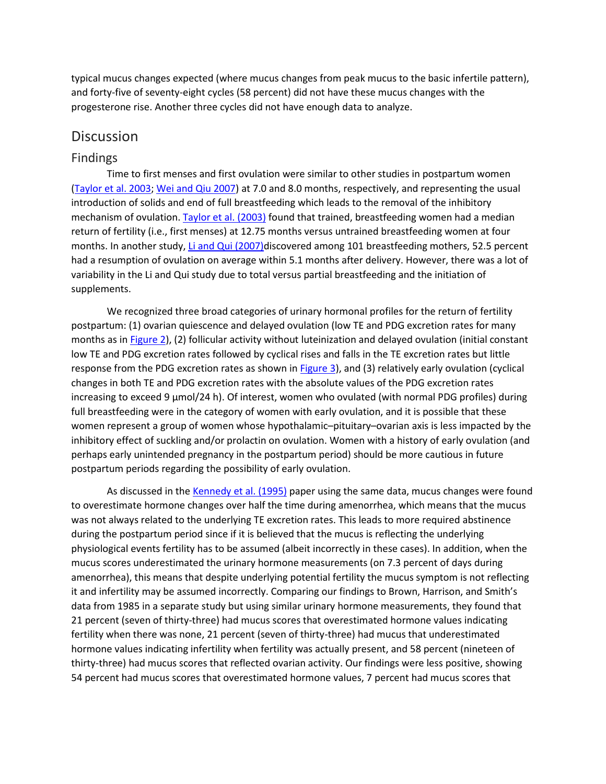typical mucus changes expected (where mucus changes from peak mucus to the basic infertile pattern), and forty-five of seventy-eight cycles (58 percent) did not have these mucus changes with the progesterone rise. Another three cycles did not have enough data to analyze.

#### **Discussion**

#### Findings

Time to first menses and first ovulation were similar to other studies in postpartum women [\(Taylor et al. 2003;](https://journals.sagepub.com/doi/10.1177/0024363918809698) [Wei and Qiu 2007\)](https://journals.sagepub.com/doi/10.1177/0024363918809698) at 7.0 and 8.0 months, respectively, and representing the usual introduction of solids and end of full breastfeeding which leads to the removal of the inhibitory mechanism of ovulation. [Taylor et al. \(2003\)](https://journals.sagepub.com/doi/10.1177/0024363918809698) found that trained, breastfeeding women had a median return of fertility (i.e., first menses) at 12.75 months versus untrained breastfeeding women at four months. In another study, [Li and Qui \(2007\)d](https://journals.sagepub.com/doi/10.1177/0024363918809698)iscovered among 101 breastfeeding mothers, 52.5 percent had a resumption of ovulation on average within 5.1 months after delivery. However, there was a lot of variability in the Li and Qui study due to total versus partial breastfeeding and the initiation of supplements.

We recognized three broad categories of urinary hormonal profiles for the return of fertility postpartum: (1) ovarian quiescence and delayed ovulation (low TE and PDG excretion rates for many months as in [Figure 2\)](https://journals.sagepub.com/doi/10.1177/0024363918809698), (2) follicular activity without luteinization and delayed ovulation (initial constant low TE and PDG excretion rates followed by cyclical rises and falls in the TE excretion rates but little response from the PDG excretion rates as shown in [Figure 3\)](https://journals.sagepub.com/doi/10.1177/0024363918809698), and (3) relatively early ovulation (cyclical changes in both TE and PDG excretion rates with the absolute values of the PDG excretion rates increasing to exceed 9  $\mu$ mol/24 h). Of interest, women who ovulated (with normal PDG profiles) during full breastfeeding were in the category of women with early ovulation, and it is possible that these women represent a group of women whose hypothalamic–pituitary–ovarian axis is less impacted by the inhibitory effect of suckling and/or prolactin on ovulation. Women with a history of early ovulation (and perhaps early unintended pregnancy in the postpartum period) should be more cautious in future postpartum periods regarding the possibility of early ovulation.

As discussed in the [Kennedy et al. \(1995\)](https://journals.sagepub.com/doi/10.1177/0024363918809698) paper using the same data, mucus changes were found to overestimate hormone changes over half the time during amenorrhea, which means that the mucus was not always related to the underlying TE excretion rates. This leads to more required abstinence during the postpartum period since if it is believed that the mucus is reflecting the underlying physiological events fertility has to be assumed (albeit incorrectly in these cases). In addition, when the mucus scores underestimated the urinary hormone measurements (on 7.3 percent of days during amenorrhea), this means that despite underlying potential fertility the mucus symptom is not reflecting it and infertility may be assumed incorrectly. Comparing our findings to Brown, Harrison, and Smith's data from 1985 in a separate study but using similar urinary hormone measurements, they found that 21 percent (seven of thirty-three) had mucus scores that overestimated hormone values indicating fertility when there was none, 21 percent (seven of thirty-three) had mucus that underestimated hormone values indicating infertility when fertility was actually present, and 58 percent (nineteen of thirty-three) had mucus scores that reflected ovarian activity. Our findings were less positive, showing 54 percent had mucus scores that overestimated hormone values, 7 percent had mucus scores that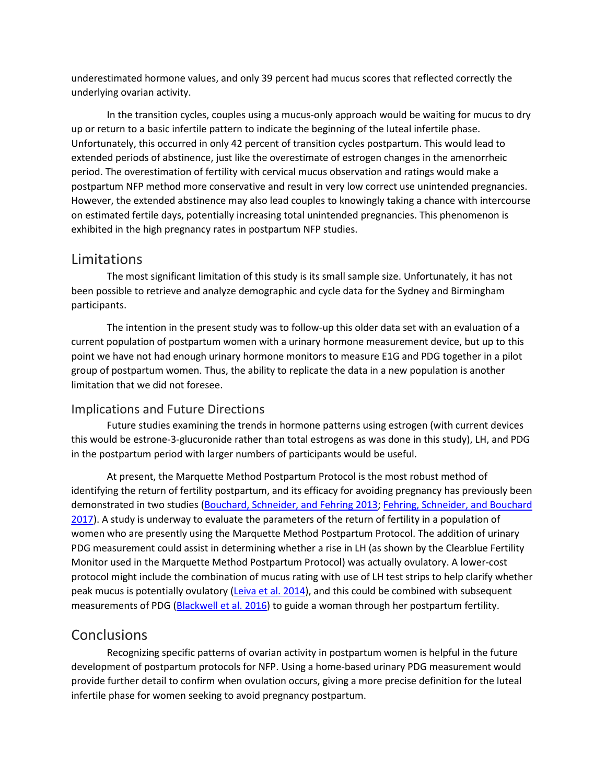underestimated hormone values, and only 39 percent had mucus scores that reflected correctly the underlying ovarian activity.

In the transition cycles, couples using a mucus-only approach would be waiting for mucus to dry up or return to a basic infertile pattern to indicate the beginning of the luteal infertile phase. Unfortunately, this occurred in only 42 percent of transition cycles postpartum. This would lead to extended periods of abstinence, just like the overestimate of estrogen changes in the amenorrheic period. The overestimation of fertility with cervical mucus observation and ratings would make a postpartum NFP method more conservative and result in very low correct use unintended pregnancies. However, the extended abstinence may also lead couples to knowingly taking a chance with intercourse on estimated fertile days, potentially increasing total unintended pregnancies. This phenomenon is exhibited in the high pregnancy rates in postpartum NFP studies.

## Limitations

The most significant limitation of this study is its small sample size. Unfortunately, it has not been possible to retrieve and analyze demographic and cycle data for the Sydney and Birmingham participants.

The intention in the present study was to follow-up this older data set with an evaluation of a current population of postpartum women with a urinary hormone measurement device, but up to this point we have not had enough urinary hormone monitors to measure E1G and PDG together in a pilot group of postpartum women. Thus, the ability to replicate the data in a new population is another limitation that we did not foresee.

#### Implications and Future Directions

Future studies examining the trends in hormone patterns using estrogen (with current devices this would be estrone-3-glucuronide rather than total estrogens as was done in this study), LH, and PDG in the postpartum period with larger numbers of participants would be useful.

At present, the Marquette Method Postpartum Protocol is the most robust method of identifying the return of fertility postpartum, and its efficacy for avoiding pregnancy has previously been demonstrated in two studies [\(Bouchard, Schneider, and Fehring 2013;](https://journals.sagepub.com/doi/10.1177/0024363918809698) [Fehring, Schneider, and Bouchard](https://journals.sagepub.com/doi/10.1177/0024363918809698)  [2017\)](https://journals.sagepub.com/doi/10.1177/0024363918809698). A study is underway to evaluate the parameters of the return of fertility in a population of women who are presently using the Marquette Method Postpartum Protocol. The addition of urinary PDG measurement could assist in determining whether a rise in LH (as shown by the Clearblue Fertility Monitor used in the Marquette Method Postpartum Protocol) was actually ovulatory. A lower-cost protocol might include the combination of mucus rating with use of LH test strips to help clarify whether peak mucus is potentially ovulatory [\(Leiva et al. 2014\)](https://journals.sagepub.com/doi/10.1177/0024363918809698), and this could be combined with subsequent measurements of PDG [\(Blackwell et al. 2016\)](https://journals.sagepub.com/doi/10.1177/0024363918809698) to guide a woman through her postpartum fertility.

## Conclusions

Recognizing specific patterns of ovarian activity in postpartum women is helpful in the future development of postpartum protocols for NFP. Using a home-based urinary PDG measurement would provide further detail to confirm when ovulation occurs, giving a more precise definition for the luteal infertile phase for women seeking to avoid pregnancy postpartum.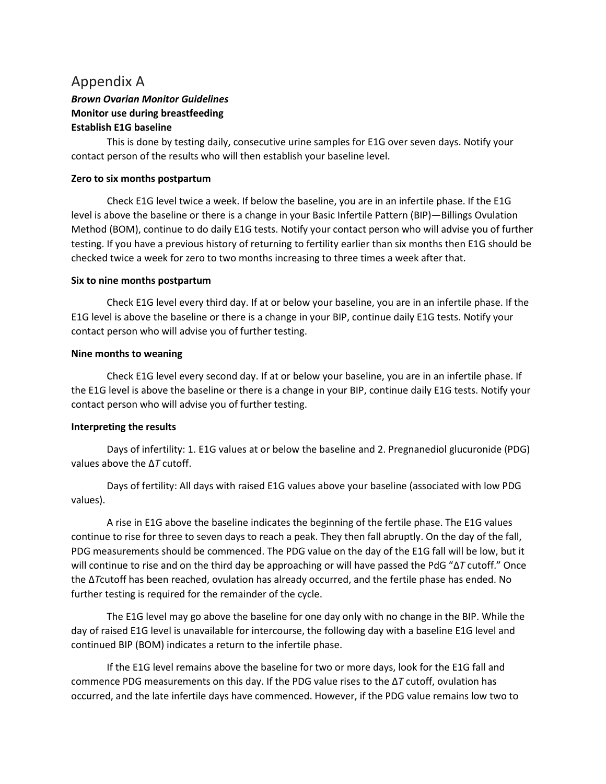## Appendix A

## *Brown Ovarian Monitor Guidelines* **Monitor use during breastfeeding Establish E1G baseline**

This is done by testing daily, consecutive urine samples for E1G over seven days. Notify your contact person of the results who will then establish your baseline level.

#### **Zero to six months postpartum**

Check E1G level twice a week. If below the baseline, you are in an infertile phase. If the E1G level is above the baseline or there is a change in your Basic Infertile Pattern (BIP)—Billings Ovulation Method (BOM), continue to do daily E1G tests. Notify your contact person who will advise you of further testing. If you have a previous history of returning to fertility earlier than six months then E1G should be checked twice a week for zero to two months increasing to three times a week after that.

#### **Six to nine months postpartum**

Check E1G level every third day. If at or below your baseline, you are in an infertile phase. If the E1G level is above the baseline or there is a change in your BIP, continue daily E1G tests. Notify your contact person who will advise you of further testing.

#### **Nine months to weaning**

Check E1G level every second day. If at or below your baseline, you are in an infertile phase. If the E1G level is above the baseline or there is a change in your BIP, continue daily E1G tests. Notify your contact person who will advise you of further testing.

#### **Interpreting the results**

Days of infertility: 1. E1G values at or below the baseline and 2. Pregnanediol glucuronide (PDG) values above the Δ*T* cutoff.

Days of fertility: All days with raised E1G values above your baseline (associated with low PDG values).

A rise in E1G above the baseline indicates the beginning of the fertile phase. The E1G values continue to rise for three to seven days to reach a peak. They then fall abruptly. On the day of the fall, PDG measurements should be commenced. The PDG value on the day of the E1G fall will be low, but it will continue to rise and on the third day be approaching or will have passed the PdG "Δ*T* cutoff." Once the Δ*T*cutoff has been reached, ovulation has already occurred, and the fertile phase has ended. No further testing is required for the remainder of the cycle.

The E1G level may go above the baseline for one day only with no change in the BIP. While the day of raised E1G level is unavailable for intercourse, the following day with a baseline E1G level and continued BIP (BOM) indicates a return to the infertile phase.

If the E1G level remains above the baseline for two or more days, look for the E1G fall and commence PDG measurements on this day. If the PDG value rises to the Δ*T* cutoff, ovulation has occurred, and the late infertile days have commenced. However, if the PDG value remains low two to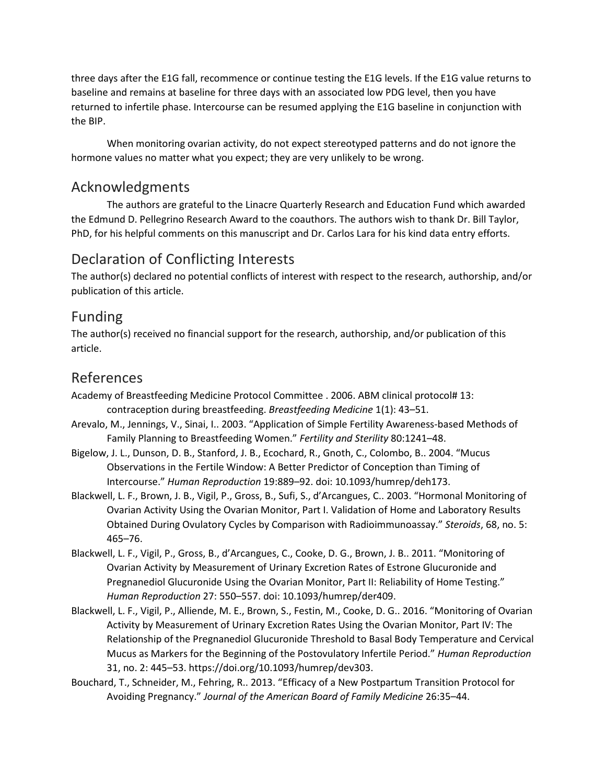three days after the E1G fall, recommence or continue testing the E1G levels. If the E1G value returns to baseline and remains at baseline for three days with an associated low PDG level, then you have returned to infertile phase. Intercourse can be resumed applying the E1G baseline in conjunction with the BIP.

When monitoring ovarian activity, do not expect stereotyped patterns and do not ignore the hormone values no matter what you expect; they are very unlikely to be wrong.

## Acknowledgments

The authors are grateful to the Linacre Quarterly Research and Education Fund which awarded the Edmund D. Pellegrino Research Award to the coauthors. The authors wish to thank Dr. Bill Taylor, PhD, for his helpful comments on this manuscript and Dr. Carlos Lara for his kind data entry efforts.

## Declaration of Conflicting Interests

The author(s) declared no potential conflicts of interest with respect to the research, authorship, and/or publication of this article.

## Funding

The author(s) received no financial support for the research, authorship, and/or publication of this article.

## References

Academy of Breastfeeding Medicine Protocol Committee . 2006. ABM clinical protocol# 13: contraception during breastfeeding. *Breastfeeding Medicine* 1(1): 43–51.

- Arevalo, M., Jennings, V., Sinai, I.. 2003. "Application of Simple Fertility Awareness-based Methods of Family Planning to Breastfeeding Women." *Fertility and Sterility* 80:1241–48.
- Bigelow, J. L., Dunson, D. B., Stanford, J. B., Ecochard, R., Gnoth, C., Colombo, B.. 2004. "Mucus Observations in the Fertile Window: A Better Predictor of Conception than Timing of Intercourse." *Human Reproduction* 19:889–92. doi: 10.1093/humrep/deh173.
- Blackwell, L. F., Brown, J. B., Vigil, P., Gross, B., Sufi, S., d'Arcangues, C.. 2003. "Hormonal Monitoring of Ovarian Activity Using the Ovarian Monitor, Part I. Validation of Home and Laboratory Results Obtained During Ovulatory Cycles by Comparison with Radioimmunoassay." *Steroids*, 68, no. 5: 465–76.
- Blackwell, L. F., Vigil, P., Gross, B., d'Arcangues, C., Cooke, D. G., Brown, J. B.. 2011. "Monitoring of Ovarian Activity by Measurement of Urinary Excretion Rates of Estrone Glucuronide and Pregnanediol Glucuronide Using the Ovarian Monitor, Part II: Reliability of Home Testing." *Human Reproduction* 27: 550–557. doi: 10.1093/humrep/der409.
- Blackwell, L. F., Vigil, P., Alliende, M. E., Brown, S., Festin, M., Cooke, D. G.. 2016. "Monitoring of Ovarian Activity by Measurement of Urinary Excretion Rates Using the Ovarian Monitor, Part IV: The Relationship of the Pregnanediol Glucuronide Threshold to Basal Body Temperature and Cervical Mucus as Markers for the Beginning of the Postovulatory Infertile Period." *Human Reproduction* 31, no. 2: 445–53. https://doi.org/10.1093/humrep/dev303.
- Bouchard, T., Schneider, M., Fehring, R.. 2013. "Efficacy of a New Postpartum Transition Protocol for Avoiding Pregnancy." *Journal of the American Board of Family Medicine* 26:35–44.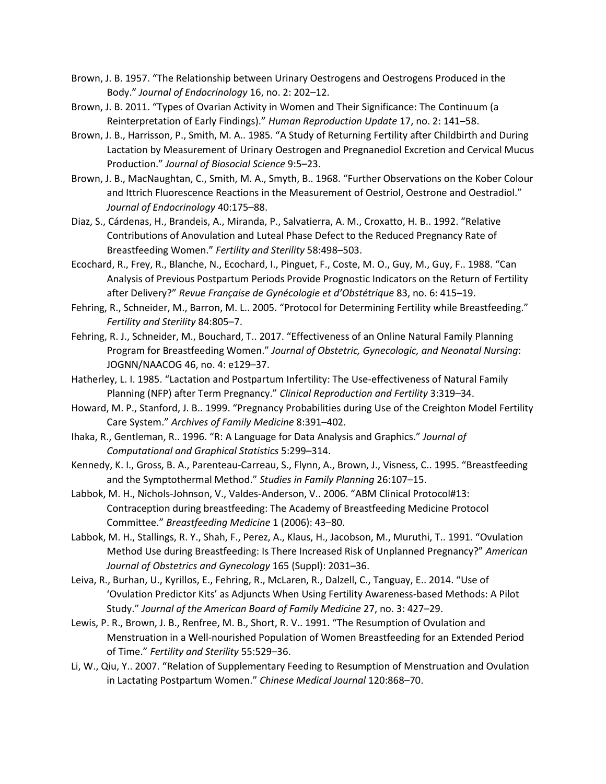- Brown, J. B. 1957. "The Relationship between Urinary Oestrogens and Oestrogens Produced in the Body." *Journal of Endocrinology* 16, no. 2: 202–12.
- Brown, J. B. 2011. "Types of Ovarian Activity in Women and Their Significance: The Continuum (a Reinterpretation of Early Findings)." *Human Reproduction Update* 17, no. 2: 141–58.
- Brown, J. B., Harrisson, P., Smith, M. A.. 1985. "A Study of Returning Fertility after Childbirth and During Lactation by Measurement of Urinary Oestrogen and Pregnanediol Excretion and Cervical Mucus Production." *Journal of Biosocial Science* 9:5–23.
- Brown, J. B., MacNaughtan, C., Smith, M. A., Smyth, B.. 1968. "Further Observations on the Kober Colour and Ittrich Fluorescence Reactions in the Measurement of Oestriol, Oestrone and Oestradiol." *Journal of Endocrinology* 40:175–88.
- Diaz, S., Cárdenas, H., Brandeis, A., Miranda, P., Salvatierra, A. M., Croxatto, H. B.. 1992. "Relative Contributions of Anovulation and Luteal Phase Defect to the Reduced Pregnancy Rate of Breastfeeding Women." *Fertility and Sterility* 58:498–503.
- Ecochard, R., Frey, R., Blanche, N., Ecochard, I., Pinguet, F., Coste, M. O., Guy, M., Guy, F.. 1988. "Can Analysis of Previous Postpartum Periods Provide Prognostic Indicators on the Return of Fertility after Delivery?" *Revue Française de Gynécologie et d'Obstétrique* 83, no. 6: 415–19.
- Fehring, R., Schneider, M., Barron, M. L.. 2005. "Protocol for Determining Fertility while Breastfeeding." *Fertility and Sterility* 84:805–7.
- Fehring, R. J., Schneider, M., Bouchard, T.. 2017. "Effectiveness of an Online Natural Family Planning Program for Breastfeeding Women." *Journal of Obstetric, Gynecologic, and Neonatal Nursing*: JOGNN/NAACOG 46, no. 4: e129–37.
- Hatherley, L. I. 1985. "Lactation and Postpartum Infertility: The Use-effectiveness of Natural Family Planning (NFP) after Term Pregnancy." *Clinical Reproduction and Fertility* 3:319–34.
- Howard, M. P., Stanford, J. B.. 1999. "Pregnancy Probabilities during Use of the Creighton Model Fertility Care System." *Archives of Family Medicine* 8:391–402.
- Ihaka, R., Gentleman, R.. 1996. "R: A Language for Data Analysis and Graphics." *Journal of Computational and Graphical Statistics* 5:299–314.
- Kennedy, K. I., Gross, B. A., Parenteau-Carreau, S., Flynn, A., Brown, J., Visness, C.. 1995. "Breastfeeding and the Symptothermal Method." *Studies in Family Planning* 26:107–15.
- Labbok, M. H., Nichols-Johnson, V., Valdes-Anderson, V.. 2006. "ABM Clinical Protocol#13: Contraception during breastfeeding: The Academy of Breastfeeding Medicine Protocol Committee." *Breastfeeding Medicine* 1 (2006): 43–80.
- Labbok, M. H., Stallings, R. Y., Shah, F., Perez, A., Klaus, H., Jacobson, M., Muruthi, T.. 1991. "Ovulation Method Use during Breastfeeding: Is There Increased Risk of Unplanned Pregnancy?" *American Journal of Obstetrics and Gynecology* 165 (Suppl): 2031–36.
- Leiva, R., Burhan, U., Kyrillos, E., Fehring, R., McLaren, R., Dalzell, C., Tanguay, E.. 2014. "Use of 'Ovulation Predictor Kits' as Adjuncts When Using Fertility Awareness-based Methods: A Pilot Study." *Journal of the American Board of Family Medicine* 27, no. 3: 427–29.
- Lewis, P. R., Brown, J. B., Renfree, M. B., Short, R. V.. 1991. "The Resumption of Ovulation and Menstruation in a Well-nourished Population of Women Breastfeeding for an Extended Period of Time." *Fertility and Sterility* 55:529–36.
- Li, W., Qiu, Y.. 2007. "Relation of Supplementary Feeding to Resumption of Menstruation and Ovulation in Lactating Postpartum Women." *Chinese Medical Journal* 120:868–70.